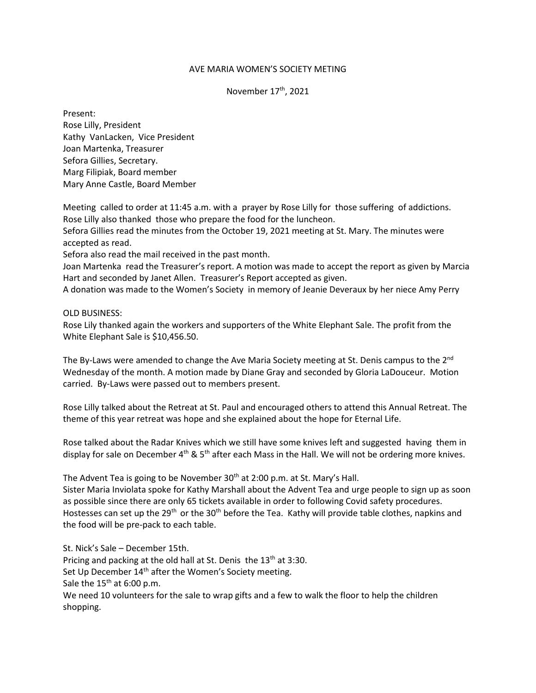## AVE MARIA WOMEN'S SOCIETY METING

November 17<sup>th</sup>, 2021

Present: Rose Lilly, President Kathy VanLacken, Vice President Joan Martenka, Treasurer Sefora Gillies, Secretary. Marg Filipiak, Board member Mary Anne Castle, Board Member

Meeting called to order at 11:45 a.m. with a prayer by Rose Lilly for those suffering of addictions. Rose Lilly also thanked those who prepare the food for the luncheon.

Sefora Gillies read the minutes from the October 19, 2021 meeting at St. Mary. The minutes were accepted as read.

Sefora also read the mail received in the past month.

Joan Martenka read the Treasurer's report. A motion was made to accept the report as given by Marcia Hart and seconded by Janet Allen. Treasurer's Report accepted as given.

A donation was made to the Women's Society in memory of Jeanie Deveraux by her niece Amy Perry

## OLD BUSINESS:

Rose Lily thanked again the workers and supporters of the White Elephant Sale. The profit from the White Elephant Sale is \$10,456.50.

The By-Laws were amended to change the Ave Maria Society meeting at St. Denis campus to the 2<sup>nd</sup> Wednesday of the month. A motion made by Diane Gray and seconded by Gloria LaDouceur. Motion carried. By-Laws were passed out to members present.

Rose Lilly talked about the Retreat at St. Paul and encouraged others to attend this Annual Retreat. The theme of this year retreat was hope and she explained about the hope for Eternal Life.

Rose talked about the Radar Knives which we still have some knives left and suggested having them in display for sale on December  $4<sup>th</sup>$  & 5<sup>th</sup> after each Mass in the Hall. We will not be ordering more knives.

The Advent Tea is going to be November  $30<sup>th</sup>$  at 2:00 p.m. at St. Mary's Hall.

Sister Maria Inviolata spoke for Kathy Marshall about the Advent Tea and urge people to sign up as soon as possible since there are only 65 tickets available in order to following Covid safety procedures. Hostesses can set up the 29<sup>th</sup> or the 30<sup>th</sup> before the Tea. Kathy will provide table clothes, napkins and the food will be pre-pack to each table.

St. Nick's Sale – December 15th. Pricing and packing at the old hall at St. Denis the  $13<sup>th</sup>$  at 3:30. Set Up December 14<sup>th</sup> after the Women's Society meeting. Sale the  $15<sup>th</sup>$  at 6:00 p.m. We need 10 volunteers for the sale to wrap gifts and a few to walk the floor to help the children shopping.